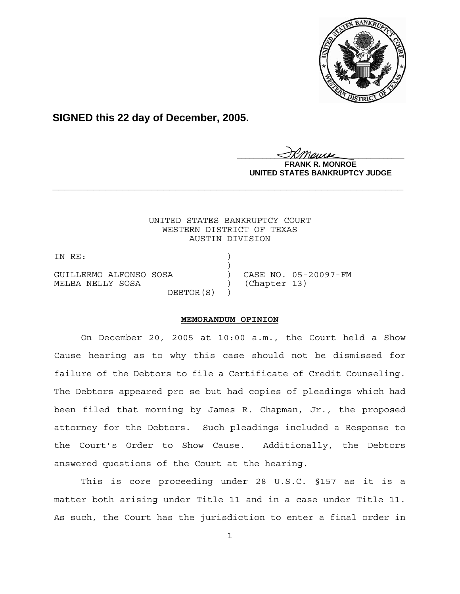

**SIGNED this 22 day of December, 2005.**

<u>IKThemse</u>

**R. MONROE UNITED STATES BANKRUPTCY JUDGE**

## UNITED STATES BANKRUPTCY COURT WESTERN DISTRICT OF TEXAS AUSTIN DIVISION

**\_\_\_\_\_\_\_\_\_\_\_\_\_\_\_\_\_\_\_\_\_\_\_\_\_\_\_\_\_\_\_\_\_\_\_\_\_\_\_\_\_\_\_\_\_\_\_\_\_\_\_\_\_\_\_\_\_\_\_\_**

IN RE:

 $)$ GUILLERMO ALFONSO SOSA ) CASE NO. 05-20097-FM MELBA NELLY SOSA (Chapter 13) DEBTOR(S) )

**MEMORANDUM OPINION**

On December 20, 2005 at 10:00 a.m., the Court held a Show Cause hearing as to why this case should not be dismissed for failure of the Debtors to file a Certificate of Credit Counseling. The Debtors appeared pro se but had copies of pleadings which had been filed that morning by James R. Chapman, Jr., the proposed attorney for the Debtors. Such pleadings included a Response to the Court's Order to Show Cause. Additionally, the Debtors answered questions of the Court at the hearing.

This is core proceeding under 28 U.S.C. §157 as it is a matter both arising under Title 11 and in a case under Title 11. As such, the Court has the jurisdiction to enter a final order in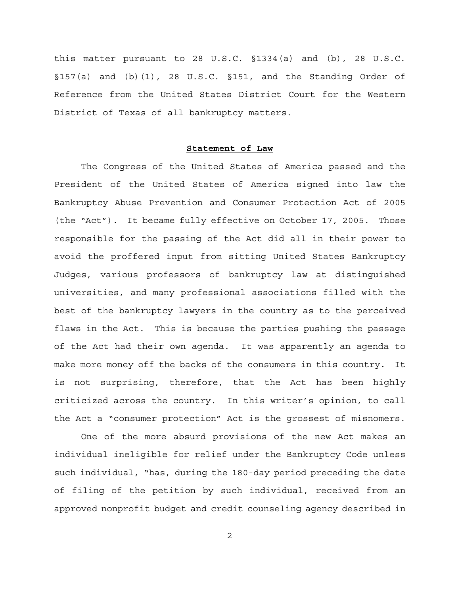this matter pursuant to 28 U.S.C. §1334(a) and (b), 28 U.S.C. §157(a) and (b)(1), 28 U.S.C. §151, and the Standing Order of Reference from the United States District Court for the Western District of Texas of all bankruptcy matters.

## **Statement of Law**

The Congress of the United States of America passed and the President of the United States of America signed into law the Bankruptcy Abuse Prevention and Consumer Protection Act of 2005 (the "Act"). It became fully effective on October 17, 2005. Those responsible for the passing of the Act did all in their power to avoid the proffered input from sitting United States Bankruptcy Judges, various professors of bankruptcy law at distinguished universities, and many professional associations filled with the best of the bankruptcy lawyers in the country as to the perceived flaws in the Act. This is because the parties pushing the passage of the Act had their own agenda. It was apparently an agenda to make more money off the backs of the consumers in this country. It is not surprising, therefore, that the Act has been highly criticized across the country. In this writer's opinion, to call the Act a "consumer protection" Act is the grossest of misnomers.

One of the more absurd provisions of the new Act makes an individual ineligible for relief under the Bankruptcy Code unless such individual, "has, during the 180-day period preceding the date of filing of the petition by such individual, received from an approved nonprofit budget and credit counseling agency described in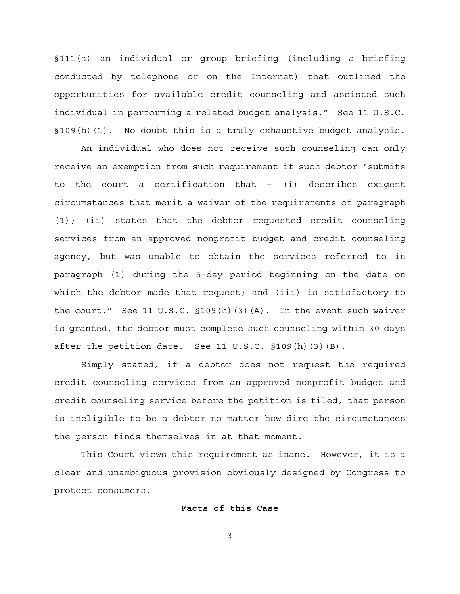§111(a) an individual or group briefing (including a briefing conducted by telephone or on the Internet) that outlined the opportunities for available credit counseling and assisted such individual in performing a related budget analysis." See 11 U.S.C. §109(h)(1). No doubt this is a truly exhaustive budget analysis.

An individual who does not receive such counseling can only receive an exemption from such requirement if such debtor "submits to the court a certification that – (i) describes exigent circumstances that merit a waiver of the requirements of paragraph (1); (ii) states that the debtor requested credit counseling services from an approved nonprofit budget and credit counseling agency, but was unable to obtain the services referred to in paragraph (1) during the 5-day period beginning on the date on which the debtor made that request; and (iii) is satisfactory to the court." See 11 U.S.C.  $\S109(h)(3)(A)$ . In the event such waiver is granted, the debtor must complete such counseling within 30 days after the petition date. See 11 U.S.C. §109(h)(3)(B).

Simply stated, if a debtor does not request the required credit counseling services from an approved nonprofit budget and credit counseling service before the petition is filed, that person is ineligible to be a debtor no matter how dire the circumstances the person finds themselves in at that moment.

This Court views this requirement as inane. However, it is a clear and unambiguous provision obviously designed by Congress to protect consumers.

## **Facts of this Case**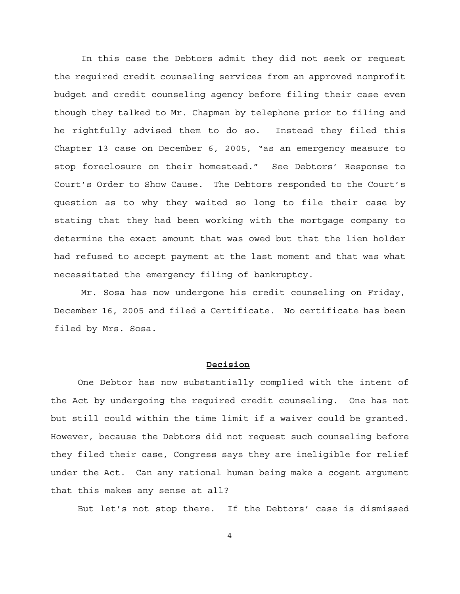In this case the Debtors admit they did not seek or request the required credit counseling services from an approved nonprofit budget and credit counseling agency before filing their case even though they talked to Mr. Chapman by telephone prior to filing and he rightfully advised them to do so. Instead they filed this Chapter 13 case on December 6, 2005, "as an emergency measure to stop foreclosure on their homestead." See Debtors' Response to Court's Order to Show Cause. The Debtors responded to the Court's question as to why they waited so long to file their case by stating that they had been working with the mortgage company to determine the exact amount that was owed but that the lien holder had refused to accept payment at the last moment and that was what necessitated the emergency filing of bankruptcy.

Mr. Sosa has now undergone his credit counseling on Friday, December 16, 2005 and filed a Certificate. No certificate has been filed by Mrs. Sosa.

## **Decision**

One Debtor has now substantially complied with the intent of the Act by undergoing the required credit counseling. One has not but still could within the time limit if a waiver could be granted. However, because the Debtors did not request such counseling before they filed their case, Congress says they are ineligible for relief under the Act. Can any rational human being make a cogent argument that this makes any sense at all?

But let's not stop there. If the Debtors' case is dismissed